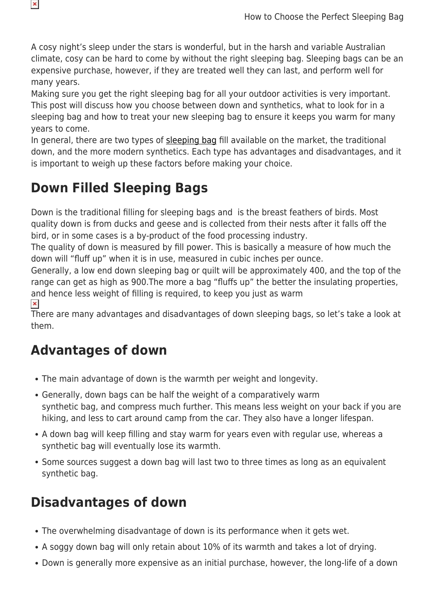A cosy night's sleep under the stars is wonderful, but in the harsh and variable Australian climate, cosy can be hard to come by without the right sleeping bag. Sleeping bags can be an expensive purchase, however, if they are treated well they can last, and perform well for many years.

Making sure you get the right sleeping bag for all your outdoor activities is very important. This post will discuss how you choose between down and synthetics, what to look for in a sleeping bag and how to treat your new sleeping bag to ensure it keeps you warm for many years to come.

In general, there are two types of [sleeping bag](https://www.snowys.com.au/sleeping-bags) fill available on the market, the traditional down, and the more modern synthetics. Each type has advantages and disadvantages, and it is important to weigh up these factors before making your choice.

## **Down Filled Sleeping Bags**

Down is the traditional filling for sleeping bags and is the breast feathers of birds. Most quality down is from ducks and geese and is collected from their nests after it falls off the bird, or in some cases is a by-product of the food processing industry.

The quality of down is measured by fill power. This is basically a measure of how much the down will "fluff up" when it is in use, measured in cubic inches per ounce.

Generally, a low end down sleeping bag or quilt will be approximately 400, and the top of the range can get as high as 900.The more a bag "fluffs up" the better the insulating properties, and hence less weight of filling is required, to keep you just as warm

 $\pmb{\times}$ 

 $\pmb{\times}$ 

There are many advantages and disadvantages of down sleeping bags, so let's take a look at them.

#### **Advantages of down**

- The main advantage of down is the warmth per weight and longevity.
- Generally, down bags can be half the weight of a comparatively warm synthetic bag, and compress much further. This means less weight on your back if you are hiking, and less to cart around camp from the car. They also have a longer lifespan.
- A down bag will keep filling and stay warm for years even with regular use, whereas a synthetic bag will eventually lose its warmth.
- Some sources suggest a down bag will last two to three times as long as an equivalent synthetic bag.

### **Disadvantages of down**

- The overwhelming disadvantage of down is its performance when it gets wet.
- A soggy down bag will only retain about 10% of its warmth and takes a lot of drying.
- Down is generally more expensive as an initial purchase, however, the long-life of a down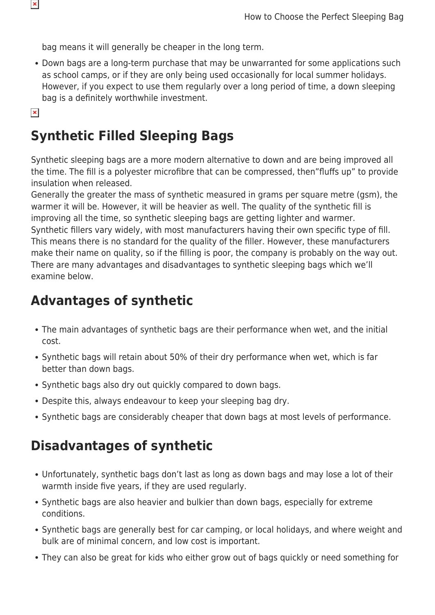bag means it will generally be cheaper in the long term.

Down bags are a long-term purchase that may be unwarranted for some applications such as school camps, or if they are only being used occasionally for local summer holidays. However, if you expect to use them regularly over a long period of time, a down sleeping bag is a definitely worthwhile investment.

```
\pmb{\times}
```
### **Synthetic Filled Sleeping Bags**

Synthetic sleeping bags are a more modern alternative to down and are being improved all the time. The fill is a polyester microfibre that can be compressed, then"fluffs up" to provide insulation when released.

Generally the greater the mass of synthetic measured in grams per square metre (gsm), the warmer it will be. However, it will be heavier as well. The quality of the synthetic fill is improving all the time, so synthetic sleeping bags are getting lighter and warmer. Synthetic fillers vary widely, with most manufacturers having their own specific type of fill. This means there is no standard for the quality of the filler. However, these manufacturers make their name on quality, so if the filling is poor, the company is probably on the way out. There are many advantages and disadvantages to synthetic sleeping bags which we'll examine below.

### **Advantages of synthetic**

- The main advantages of synthetic bags are their performance when wet, and the initial cost.
- Synthetic bags will retain about 50% of their dry performance when wet, which is far better than down bags.
- Synthetic bags also dry out quickly compared to down bags.
- Despite this, always endeavour to keep your sleeping bag dry.
- Synthetic bags are considerably cheaper that down bags at most levels of performance.

### **Disadvantages of synthetic**

- Unfortunately, synthetic bags don't last as long as down bags and may lose a lot of their warmth inside five years, if they are used regularly.
- Synthetic bags are also heavier and bulkier than down bags, especially for extreme conditions.
- Synthetic bags are generally best for car camping, or local holidays, and where weight and bulk are of minimal concern, and low cost is important.
- They can also be great for kids who either grow out of bags quickly or need something for

 $\pmb{\times}$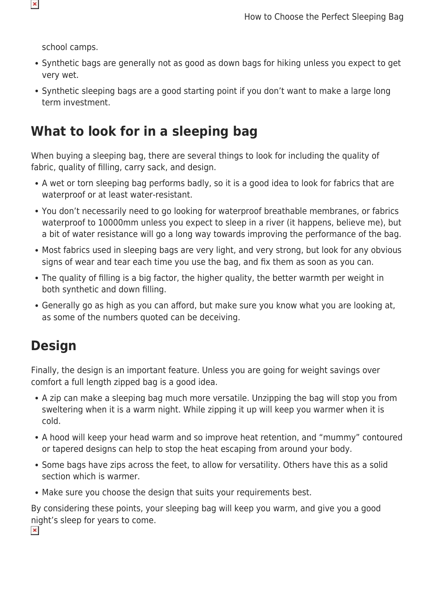school camps.

- Synthetic bags are generally not as good as down bags for hiking unless you expect to get very wet.
- Synthetic sleeping bags are a good starting point if you don't want to make a large long term investment.

### **What to look for in a sleeping bag**

When buying a sleeping bag, there are several things to look for including the quality of fabric, quality of filling, carry sack, and design.

- A wet or torn sleeping bag performs badly, so it is a good idea to look for fabrics that are waterproof or at least water-resistant.
- You don't necessarily need to go looking for waterproof breathable membranes, or fabrics waterproof to 10000mm unless you expect to sleep in a river (it happens, believe me), but a bit of water resistance will go a long way towards improving the performance of the bag.
- Most fabrics used in sleeping bags are very light, and very strong, but look for any obvious signs of wear and tear each time you use the bag, and fix them as soon as you can.
- The quality of filling is a big factor, the higher quality, the better warmth per weight in both synthetic and down filling.
- Generally go as high as you can afford, but make sure you know what you are looking at, as some of the numbers quoted can be deceiving.

## **Design**

Finally, the design is an important feature. Unless you are going for weight savings over comfort a full length zipped bag is a good idea.

- A zip can make a sleeping bag much more versatile. Unzipping the bag will stop you from sweltering when it is a warm night. While zipping it up will keep you warmer when it is cold.
- A hood will keep your head warm and so improve heat retention, and "mummy" contoured or tapered designs can help to stop the heat escaping from around your body.
- Some bags have zips across the feet, to allow for versatility. Others have this as a solid section which is warmer.
- Make sure you choose the design that suits your requirements best.

By considering these points, your sleeping bag will keep you warm, and give you a good night's sleep for years to come. $\pmb{\times}$ 

 $\pmb{\times}$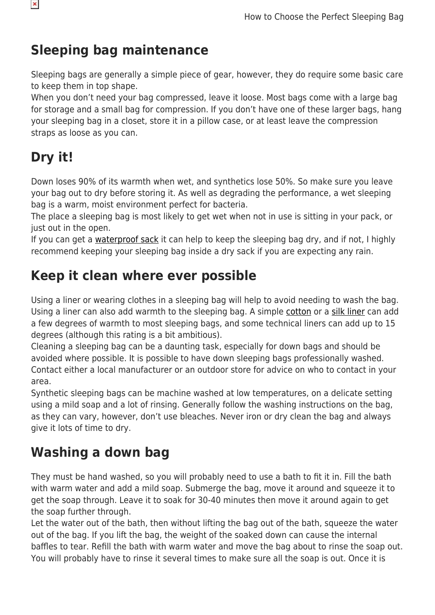## **Sleeping bag maintenance**

Sleeping bags are generally a simple piece of gear, however, they do require some basic care to keep them in top shape.

When you don't need your bag compressed, leave it loose. Most bags come with a large bag for storage and a small bag for compression. If you don't have one of these larger bags, hang your sleeping bag in a closet, store it in a pillow case, or at least leave the compression straps as loose as you can.

# **Dry it!**

Down loses 90% of its warmth when wet, and synthetics lose 50%. So make sure you leave your bag out to dry before storing it. As well as degrading the performance, a wet sleeping bag is a warm, moist environment perfect for bacteria.

The place a sleeping bag is most likely to get wet when not in use is sitting in your pack, or just out in the open.

If you can get a [waterproof sack](https://www.snowys.com.au/lightweight-dry-sack) it can help to keep the sleeping bag dry, and if not, I highly recommend keeping your sleeping bag inside a dry sack if you are expecting any rain.

### **Keep it clean where ever possible**

Using a liner or wearing clothes in a sleeping bag will help to avoid needing to wash the bag. Using a liner can also add warmth to the sleeping bag. A simple [cotton](https://www.snowys.com.au/sleeping-gear-accessories#/specFilters=5!#-!6!-#!23m!#-!258&pageSize=40&orderBy=-1&pageNumber=1) or a [silk liner](https://www.snowys.com.au/sleeping-gear-accessories#/specFilters=5!#-!6!-#!23m!#-!60&pageSize=40&orderBy=-1&pageNumber=1) can add a few degrees of warmth to most sleeping bags, and some technical liners can add up to 15 degrees (although this rating is a bit ambitious).

Cleaning a sleeping bag can be a daunting task, especially for down bags and should be avoided where possible. It is possible to have down sleeping bags professionally washed. Contact either a local manufacturer or an outdoor store for advice on who to contact in your area.

Synthetic sleeping bags can be machine washed at low temperatures, on a delicate setting using a mild soap and a lot of rinsing. Generally follow the washing instructions on the bag, as they can vary, however, don't use bleaches. Never iron or dry clean the bag and always give it lots of time to dry.

## **Washing a down bag**

They must be hand washed, so you will probably need to use a bath to fit it in. Fill the bath with warm water and add a mild soap. Submerge the bag, move it around and squeeze it to get the soap through. Leave it to soak for 30-40 minutes then move it around again to get the soap further through.

Let the water out of the bath, then without lifting the bag out of the bath, squeeze the water out of the bag. If you lift the bag, the weight of the soaked down can cause the internal baffles to tear. Refill the bath with warm water and move the bag about to rinse the soap out. You will probably have to rinse it several times to make sure all the soap is out. Once it is